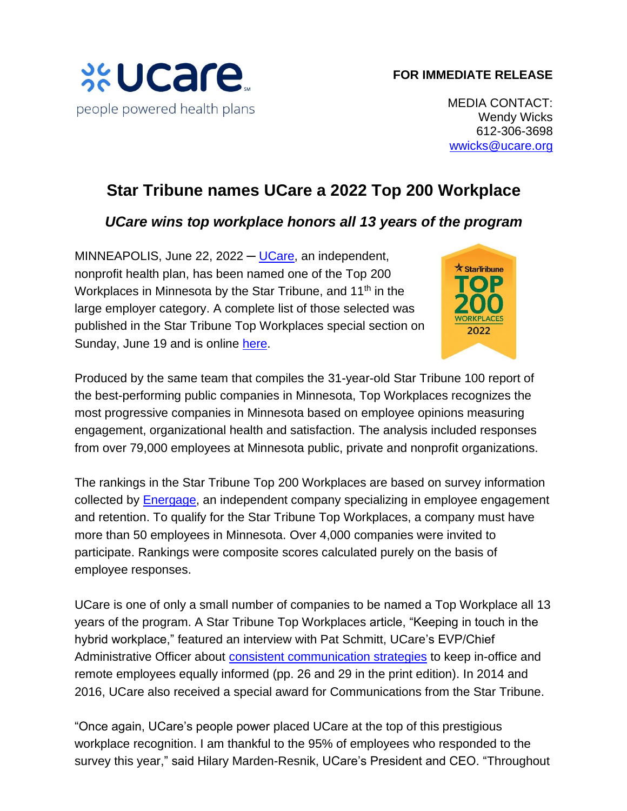## **FOR IMMEDIATE RELEASE**



MEDIA CONTACT: Wendy Wicks 612-306-3698 [wwicks@ucare.org](mailto:wwicks@ucare.org)

## **Star Tribune names UCare a 2022 Top 200 Workplace**

## *UCare wins top workplace honors all 13 years of the program*

MINNEAPOLIS, June 22, 2022  $-$  [UCare,](https://home.ucare.org/en-us/) an independent, nonprofit health plan, has been named one of the Top 200 Workplaces in Minnesota by the Star Tribune, and 11<sup>th</sup> in the large employer category. A complete list of those selected was published in the Star Tribune Top Workplaces special section on Sunday, June 19 and is online [here.](http://www.startribune.com/topworkplaces)



Produced by the same team that compiles the 31-year-old Star Tribune 100 report of the best-performing public companies in Minnesota, Top Workplaces recognizes the most progressive companies in Minnesota based on employee opinions measuring engagement, organizational health and satisfaction. The analysis included responses from over 79,000 employees at Minnesota public, private and nonprofit organizations.

The rankings in the Star Tribune Top 200 Workplaces are based on survey information collected by **Energage**, an independent company specializing in employee engagement and retention. To qualify for the Star Tribune Top Workplaces, a company must have more than 50 employees in Minnesota. Over 4,000 companies were invited to participate. Rankings were composite scores calculated purely on the basis of employee responses.

UCare is one of only a small number of companies to be named a Top Workplace all 13 years of the program. A Star Tribune Top Workplaces article, "Keeping in touch in the hybrid workplace," featured an interview with Pat Schmitt, UCare's EVP/Chief Administrative Officer about consistent [communication](https://www.startribune.com/keeping-in-touch-in-the-hybrid-workplace/600181759/) strategies to keep in-office and remote employees equally informed (pp. 26 and 29 in the print edition). In 2014 and 2016, UCare also received a special award for Communications from the Star Tribune.

"Once again, UCare's people power placed UCare at the top of this prestigious workplace recognition. I am thankful to the 95% of employees who responded to the survey this year," said Hilary Marden-Resnik, UCare's President and CEO. "Throughout